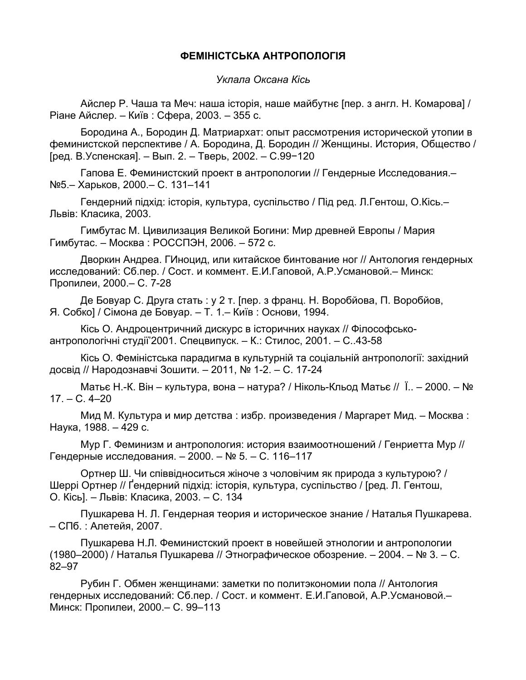## **ФЕМІНІСТСЬКА АНТРОПОЛОГІЯ**

*Уклала Оксана Кісь*

Айслер Р. Чаша та Меч: наша історія, наше майбутнє [пер. з англ. Н. Комарова] / Ріане Айслер. – Київ : Сфера, 2003. – 355 с.

Бородина А., Бородин Д. Матриархат: опыт рассмотрения исторической утопии в феминистской перспективе / А. Бородина, Д. Бородин // Женщины. История, Общество / [ред. В.Успенская]. – Вып. 2. – Тверь, 2002. – С.99−120

Гапова Е. Феминистский проект в антропологии // Гендерные Исследования.– №5.– Харьков, 2000.– С. 131–141

Гендерний підхід: історія, культура, суспільство / Під ред. Л.Гентош, О.Кісь.– Львів: Класика, 2003.

Гимбутас М. Цивилизация Великой Богини: Мир древней Европы / Мария Гимбутас. – Москва : РОССПЭН, 2006. – 572 с.

Дворкин Андреа. ГИноцид, или китайское бинтование ног // Антология гендерных исследований: Сб.пер. / Сост. и коммент. Е.И.Гаповой, А.Р.Усмановой.– Минск: Пропилеи, 2000.– С. 7-28

Де Бовуар С. Друга стать : у 2 т. [пер. з франц. Н. Воробйова, П. Воробйов, Я. Собко] / Сімона де Бовуар. – Т. 1.– Київ : Основи, 1994.

Кісь О. Андроцентричний дискурс в історичних науках // Філософськоантропологічні студії'2001. Спецвипуск. – К.: Стилос, 2001. – C..43-58

Кісь О. Феміністська парадигма в культурній та соціальній антропології: західний досвід // Народознавчі Зошити. – 2011, № 1-2. – С. 17-24

Матьє Н.-К. Він – культура, вона – натура? / Ніколь-Кльод Матьє // Ї.. – 2000. – № 17. – С. 4–20

Мид М. Культура и мир детства : избр. произведения / Маргарет Мид. – Москва : Наука, 1988. – 429 с.

Мур Г. Феминизм и антропология: история взаимоотношений / Генриетта Мур // Гендерные исследования. – 2000. – № 5. – С. 116–117

Ортнер Ш. Чи співвідноситься жіноче з чоловічим як природа з культурою? / Шеррі Ортнер // Ґендерний підхід: історія, культура, суспільство / [ред. Л. Гентош, О. Кісь]. – Львів: Класика, 2003. – С. 134

Пушкарева Н. Л. Гендерная теория и историческое знание / Наталья Пушкарева. – СПб. : Алетейя, 2007.

Пушкарева Н.Л. Феминистский проект в новейшей этнологии и антропологии (1980–2000) / Наталья Пушкарева // Этнографическое обозрение. – 2004. – № 3. – С. 82–97

Рубин Г. Обмен женщинами: заметки по политэкономии пола // Антология гендерных исследований: Сб.пер. / Сост. и коммент. Е.И.Гаповой, А.Р.Усмановой.– Минск: Пропилеи, 2000.– С. 99–113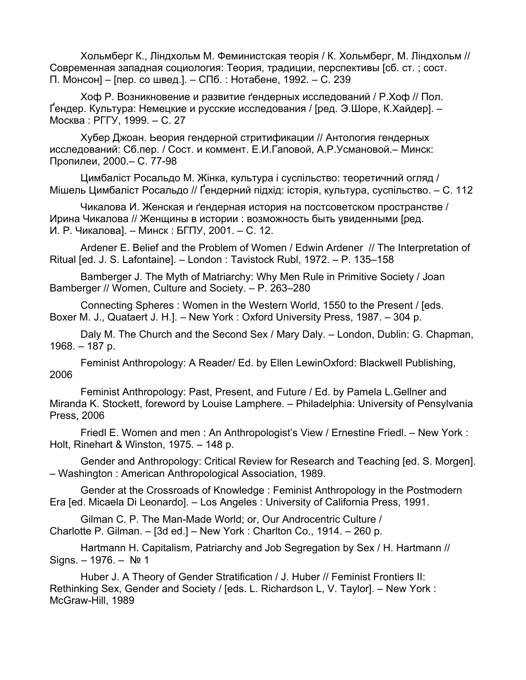Хольмберг К., Ліндхольм М. Феминистская теорія / К. Хольмберг, М. Ліндхольм // Современная западная социология: Теория, традиции, перспективы [сб. ст. ; сост. П. Монсон] – [пер. со швед.]. – СПб. : Нотабене, 1992. – C. 239

Хоф Р. Возникновение и развитие ґендерных исследований / Р.Хоф // Пол. Ґендер. Культура: Немецкие и русские исследования / [ред. Э.Шоре, К.Хайдер]. – Москва : РГГУ, 1999. – С. 27

Хубер Джоан. Ьеория гендерной стритификации // Антология гендерных исследований: Сб.пер. / Сост. и коммент. Е.И.Гаповой, А.Р.Усмановой.– Минск: Пропилеи, 2000.– С. 77-98

Цимбаліст Росальдо М. Жінка, культура і суспільство: теоретичний огляд / Мішель Цимбаліст Росальдо // Ґендерний підхід: історія, культура, суспільство. – С. 112

Чикалова И. Женская и ґендерная история на постсоветском пространстве / Ирина Чикалова // Женщины в истории : возможность быть увиденными [ред. И. Р. Чикалова]. – Минск : БГПУ, 2001. – С. 12.

Ardener E. Belief and the Problem of Women / Edwin Ardener // The Interpretation of Ritual [ed. J. S. Lafontaine]. – London : Tavistock Rubl, 1972. – P. 135–158

Bamberger J. The Myth of Matriarchy: Why Men Rule in Primitive Society / Joan Bamberger // Women, Culture and Society. – P. 263–280

Connecting Spheres : Women in the Western World, 1550 to the Present / [eds. Boxer M. J., Quataert J. H.]. – New York : Oxford University Press, 1987. – 304 p.

Daly M. The Church and the Second Sex / Mary Daly. – London, Dublin: G. Chapman, 1968. – 187 p.

Feminist Anthropology: A Reader/ Ed. by Ellen LewinOxford: Blackwell Publishing, 2006

Feminist Anthropology: Past, Present, and Future / Ed. by Pamela L.Gellner and Miranda K. Stockett, foreword by Louise Lamphere. – Philadelphia: University of Pensylvania Press, 2006

Friedl E. Women and men : An Anthropologist's View / Ernestine Friedl. – New York : Holt, Rinehart & Winston, 1975. – 148 p.

Gender and Anthropology: Critical Review for Research and Teaching [ed. S. Morgen]. – Washington : American Anthropological Association, 1989.

Gender at the Crossroads of Knowledge : Feminist Anthropology in the Postmodern Era [ed. Micaela Di Leonardo]. – Los Angeles : University of California Press, 1991.

Gilman C. P. The Man-Made World; or, Our Androcentric Culture / Charlotte P. Gilman. – [3d ed.] – New York : Charlton Co., 1914. – 260 p.

Hartmann H. Capitalism, Patriarchy and Job Segregation by Sex / H. Hartmann // Signs. – 1976. – № 1

Huber J. A Theory of Gender Stratification / J. Huber // Feminist Frontiers II: Rethinking Sex, Gender and Society / [eds. L. Richardson L, V. Taylor]. – New York : McGraw-Hill, 1989